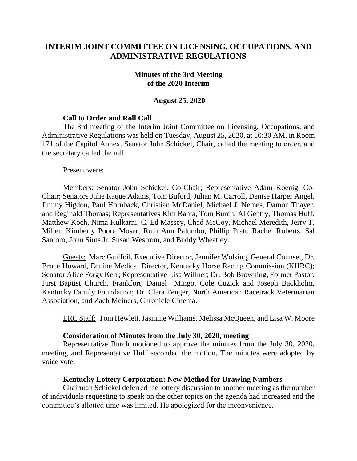# **INTERIM JOINT COMMITTEE ON LICENSING, OCCUPATIONS, AND ADMINISTRATIVE REGULATIONS**

#### **Minutes of the 3rd Meeting of the 2020 Interim**

#### **August 25, 2020**

#### **Call to Order and Roll Call**

The 3rd meeting of the Interim Joint Committee on Licensing, Occupations, and Administrative Regulations was held on Tuesday, August 25, 2020, at 10:30 AM, in Room 171 of the Capitol Annex. Senator John Schickel, Chair, called the meeting to order, and the secretary called the roll.

Present were:

Members: Senator John Schickel, Co-Chair; Representative Adam Koenig, Co-Chair; Senators Julie Raque Adams, Tom Buford, Julian M. Carroll, Denise Harper Angel, Jimmy Higdon, Paul Hornback, Christian McDaniel, Michael J. Nemes, Damon Thayer, and Reginald Thomas; Representatives Kim Banta, Tom Burch, Al Gentry, Thomas Huff, Matthew Koch, Nima Kulkarni, C. Ed Massey, Chad McCoy, Michael Meredith, Jerry T. Miller, Kimberly Poore Moser, Ruth Ann Palumbo, Phillip Pratt, Rachel Roberts, Sal Santoro, John Sims Jr, Susan Westrom, and Buddy Wheatley.

Guests: Marc Guilfoil, Executive Director, Jennifer Wolsing, General Counsel, Dr. Bruce Howard, Equine Medical Director, Kentucky Horse Racing Commission (KHRC); Senator Alice Forgy Kerr; Representative Lisa Willner; Dr. Bob Browning, Former Pastor, First Baptist Church, Frankfort; Daniel Mingo, Cole Cuzick and Joseph Backholm, Kentucky Family Foundation; Dr. Clara Fenger, North American Racetrack Veterinarian Association, and Zach Meiners, Chronicle Cinema.

LRC Staff: Tom Hewlett, Jasmine Williams, Melissa McQueen, and Lisa W. Moore

#### **Consideration of Minutes from the July 30, 2020, meeting**

Representative Burch motioned to approve the minutes from the July 30, 2020, meeting, and Representative Huff seconded the motion. The minutes were adopted by voice vote.

## **Kentucky Lottery Corporation: New Method for Drawing Numbers**

Chairman Schickel deferred the lottery discussion to another meeting as the number of individuals requesting to speak on the other topics on the agenda had increased and the committee's allotted time was limited. He apologized for the inconvenience.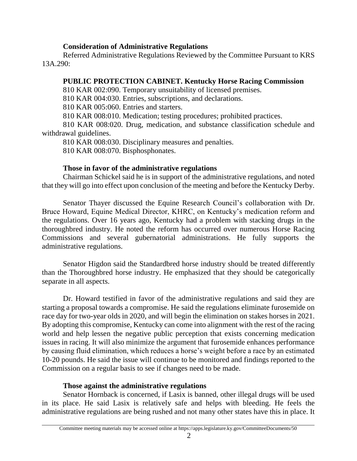## **Consideration of Administrative Regulations**

Referred Administrative Regulations Reviewed by the Committee Pursuant to KRS 13A.290:

## **PUBLIC PROTECTION CABINET. Kentucky Horse Racing Commission**

810 KAR 002:090. Temporary unsuitability of licensed premises.

810 KAR 004:030. Entries, subscriptions, and declarations.

810 KAR 005:060. Entries and starters.

810 KAR 008:010. Medication; testing procedures; prohibited practices.

810 KAR 008:020. Drug, medication, and substance classification schedule and withdrawal guidelines.

810 KAR 008:030. Disciplinary measures and penalties.

810 KAR 008:070. Bisphosphonates.

# **Those in favor of the administrative regulations**

Chairman Schickel said he is in support of the administrative regulations, and noted that they will go into effect upon conclusion of the meeting and before the Kentucky Derby.

Senator Thayer discussed the Equine Research Council's collaboration with Dr. Bruce Howard, Equine Medical Director, KHRC, on Kentucky's medication reform and the regulations. Over 16 years ago, Kentucky had a problem with stacking drugs in the thoroughbred industry. He noted the reform has occurred over numerous Horse Racing Commissions and several gubernatorial administrations. He fully supports the administrative regulations.

Senator Higdon said the Standardbred horse industry should be treated differently than the Thoroughbred horse industry. He emphasized that they should be categorically separate in all aspects.

Dr. Howard testified in favor of the administrative regulations and said they are starting a proposal towards a compromise. He said the regulations eliminate furosemide on race day for two-year olds in 2020, and will begin the elimination on stakes horses in 2021. By adopting this compromise, Kentucky can come into alignment with the rest of the racing world and help lessen the negative public perception that exists concerning medication issues in racing. It will also minimize the argument that furosemide enhances performance by causing fluid elimination, which reduces a horse's weight before a race by an estimated 10-20 pounds. He said the issue will continue to be monitored and findings reported to the Commission on a regular basis to see if changes need to be made.

## **Those against the administrative regulations**

Senator Hornback is concerned, if Lasix is banned, other illegal drugs will be used in its place. He said Lasix is relatively safe and helps with bleeding. He feels the administrative regulations are being rushed and not many other states have this in place. It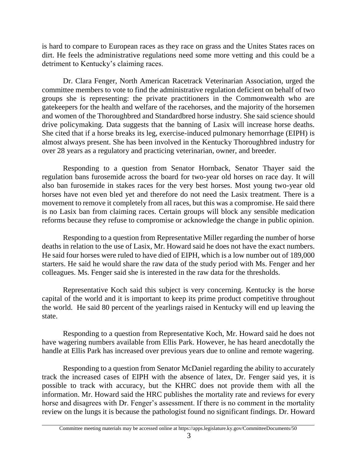is hard to compare to European races as they race on grass and the Unites States races on dirt. He feels the administrative regulations need some more vetting and this could be a detriment to Kentucky's claiming races.

Dr. Clara Fenger, North American Racetrack Veterinarian Association, urged the committee members to vote to find the administrative regulation deficient on behalf of two groups she is representing: the private practitioners in the Commonwealth who are gatekeepers for the health and welfare of the racehorses, and the majority of the horsemen and women of the Thoroughbred and Standardbred horse industry. She said science should drive policymaking. Data suggests that the banning of Lasix will increase horse deaths. She cited that if a horse breaks its leg, exercise-induced pulmonary hemorrhage (EIPH) is almost always present. She has been involved in the Kentucky Thoroughbred industry for over 28 years as a regulatory and practicing veterinarian, owner, and breeder.

Responding to a question from Senator Hornback, Senator Thayer said the regulation bans furosemide across the board for two-year old horses on race day. It will also ban furosemide in stakes races for the very best horses. Most young two-year old horses have not even bled yet and therefore do not need the Lasix treatment. There is a movement to remove it completely from all races, but this was a compromise. He said there is no Lasix ban from claiming races. Certain groups will block any sensible medication reforms because they refuse to compromise or acknowledge the change in public opinion.

Responding to a question from Representative Miller regarding the number of horse deaths in relation to the use of Lasix, Mr. Howard said he does not have the exact numbers. He said four horses were ruled to have died of EIPH, which is a low number out of 189,000 starters. He said he would share the raw data of the study period with Ms. Fenger and her colleagues. Ms. Fenger said she is interested in the raw data for the thresholds.

Representative Koch said this subject is very concerning. Kentucky is the horse capital of the world and it is important to keep its prime product competitive throughout the world. He said 80 percent of the yearlings raised in Kentucky will end up leaving the state.

Responding to a question from Representative Koch, Mr. Howard said he does not have wagering numbers available from Ellis Park. However, he has heard anecdotally the handle at Ellis Park has increased over previous years due to online and remote wagering.

Responding to a question from Senator McDaniel regarding the ability to accurately track the increased cases of EIPH with the absence of latex, Dr. Fenger said yes, it is possible to track with accuracy, but the KHRC does not provide them with all the information. Mr. Howard said the HRC publishes the mortality rate and reviews for every horse and disagrees with Dr. Fenger's assessment. If there is no comment in the mortality review on the lungs it is because the pathologist found no significant findings. Dr. Howard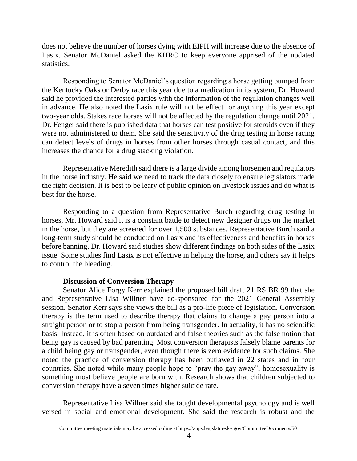does not believe the number of horses dying with EIPH will increase due to the absence of Lasix. Senator McDaniel asked the KHRC to keep everyone apprised of the updated statistics.

Responding to Senator McDaniel's question regarding a horse getting bumped from the Kentucky Oaks or Derby race this year due to a medication in its system, Dr. Howard said he provided the interested parties with the information of the regulation changes well in advance. He also noted the Lasix rule will not be effect for anything this year except two-year olds. Stakes race horses will not be affected by the regulation change until 2021. Dr. Fenger said there is published data that horses can test positive for steroids even if they were not administered to them. She said the sensitivity of the drug testing in horse racing can detect levels of drugs in horses from other horses through casual contact, and this increases the chance for a drug stacking violation.

Representative Meredith said there is a large divide among horsemen and regulators in the horse industry. He said we need to track the data closely to ensure legislators made the right decision. It is best to be leary of public opinion on livestock issues and do what is best for the horse.

Responding to a question from Representative Burch regarding drug testing in horses, Mr. Howard said it is a constant battle to detect new designer drugs on the market in the horse, but they are screened for over 1,500 substances. Representative Burch said a long-term study should be conducted on Lasix and its effectiveness and benefits in horses before banning. Dr. Howard said studies show different findings on both sides of the Lasix issue. Some studies find Lasix is not effective in helping the horse, and others say it helps to control the bleeding.

## **Discussion of Conversion Therapy**

Senator Alice Forgy Kerr explained the proposed bill draft 21 RS BR 99 that she and Representative Lisa Willner have co-sponsored for the 2021 General Assembly session. Senator Kerr says she views the bill as a pro-life piece of legislation. Conversion therapy is the term used to describe therapy that claims to change a gay person into a straight person or to stop a person from being transgender. In actuality, it has no scientific basis. Instead, it is often based on outdated and false theories such as the false notion that being gay is caused by bad parenting. Most conversion therapists falsely blame parents for a child being gay or transgender, even though there is zero evidence for such claims. She noted the practice of conversion therapy has been outlawed in 22 states and in four countries. She noted while many people hope to "pray the gay away", homosexuality is something most believe people are born with. Research shows that children subjected to conversion therapy have a seven times higher suicide rate.

Representative Lisa Willner said she taught developmental psychology and is well versed in social and emotional development. She said the research is robust and the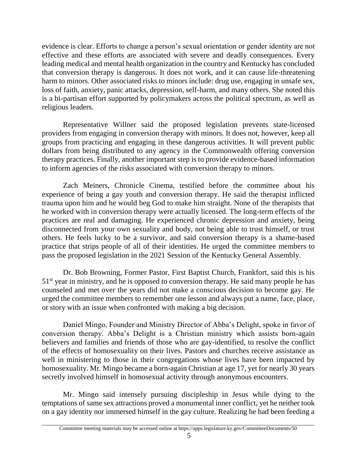evidence is clear. Efforts to change a person's sexual orientation or gender identity are not effective and these efforts are associated with severe and deadly consequences. Every leading medical and mental health organization in the country and Kentucky has concluded that conversion therapy is dangerous. It does not work, and it can cause life-threatening harm to minors. Other associated risks to minors include: drug use, engaging in unsafe sex, loss of faith, anxiety, panic attacks, depression, self-harm, and many others. She noted this is a bi-partisan effort supported by policymakers across the political spectrum, as well as religious leaders.

Representative Willner said the proposed legislation prevents state-licensed providers from engaging in conversion therapy with minors. It does not, however, keep all groups from practicing and engaging in these dangerous activities. It will prevent public dollars from being distributed to any agency in the Commonwealth offering conversion therapy practices. Finally, another important step is to provide evidence-based information to inform agencies of the risks associated with conversion therapy to minors.

Zach Meiners, Chronicle Cinema, testified before the committee about his experience of being a gay youth and conversion therapy. He said the therapist inflicted trauma upon him and he would beg God to make him straight. None of the therapists that he worked with in conversion therapy were actually licensed. The long-term effects of the practices are real and damaging. He experienced chronic depression and anxiety, being disconnected from your own sexuality and body, not being able to trust himself, or trust others. He feels lucky to be a survivor, and said conversion therapy is a shame-based practice that strips people of all of their identities. He urged the committee members to pass the proposed legislation in the 2021 Session of the Kentucky General Assembly.

Dr. Bob Browning, Former Pastor, First Baptist Church, Frankfort, said this is his  $51<sup>st</sup>$  year in ministry, and he is opposed to conversion therapy. He said many people he has counseled and met over the years did not make a conscious decision to become gay. He urged the committee members to remember one lesson and always put a name, face, place, or story with an issue when confronted with making a big decision.

Daniel Mingo, Founder and Ministry Director of Abba's Delight, spoke in favor of conversion therapy. Abba's Delight is a Christian ministry which assists born-again believers and families and friends of those who are gay-identified, to resolve the conflict of the effects of homosexuality on their lives. Pastors and churches receive assistance as well in ministering to those in their congregations whose lives have been impacted by homosexuality. Mr. Mingo became a born-again Christian at age 17, yet for nearly 30 years secretly involved himself in homosexual activity through anonymous encounters.

Mr. Mingo said intensely pursuing discipleship in Jesus while dying to the temptations of same sex attractions proved a monumental inner conflict, yet he neither took on a gay identity nor immersed himself in the gay culture. Realizing he had been feeding a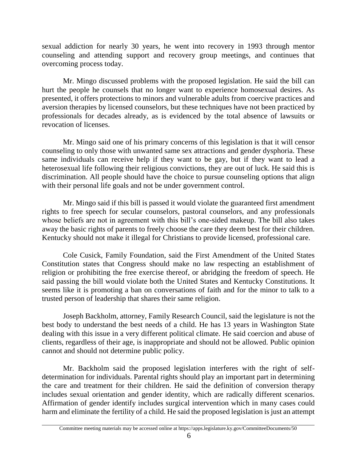sexual addiction for nearly 30 years, he went into recovery in 1993 through mentor counseling and attending support and recovery group meetings, and continues that overcoming process today.

Mr. Mingo discussed problems with the proposed legislation. He said the bill can hurt the people he counsels that no longer want to experience homosexual desires. As presented, it offers protections to minors and vulnerable adults from coercive practices and aversion therapies by licensed counselors, but these techniques have not been practiced by professionals for decades already, as is evidenced by the total absence of lawsuits or revocation of licenses.

Mr. Mingo said one of his primary concerns of this legislation is that it will censor counseling to only those with unwanted same sex attractions and gender dysphoria. These same individuals can receive help if they want to be gay, but if they want to lead a heterosexual life following their religious convictions, they are out of luck. He said this is discrimination. All people should have the choice to pursue counseling options that align with their personal life goals and not be under government control.

Mr. Mingo said if this bill is passed it would violate the guaranteed first amendment rights to free speech for secular counselors, pastoral counselors, and any professionals whose beliefs are not in agreement with this bill's one-sided makeup. The bill also takes away the basic rights of parents to freely choose the care they deem best for their children. Kentucky should not make it illegal for Christians to provide licensed, professional care.

Cole Cusick, Family Foundation, said the First Amendment of the United States Constitution states that Congress should make no law respecting an establishment of religion or prohibiting the free exercise thereof, or abridging the freedom of speech. He said passing the bill would violate both the United States and Kentucky Constitutions. It seems like it is promoting a ban on conversations of faith and for the minor to talk to a trusted person of leadership that shares their same religion.

Joseph Backholm, attorney, Family Research Council, said the legislature is not the best body to understand the best needs of a child. He has 13 years in Washington State dealing with this issue in a very different political climate. He said coercion and abuse of clients, regardless of their age, is inappropriate and should not be allowed. Public opinion cannot and should not determine public policy.

Mr. Backholm said the proposed legislation interferes with the right of selfdetermination for individuals. Parental rights should play an important part in determining the care and treatment for their children. He said the definition of conversion therapy includes sexual orientation and gender identity, which are radically different scenarios. Affirmation of gender identify includes surgical intervention which in many cases could harm and eliminate the fertility of a child. He said the proposed legislation is just an attempt